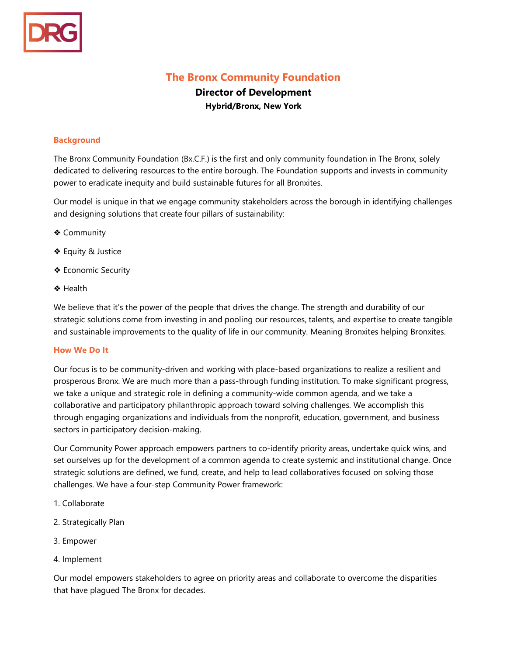

# **The Bronx Community Foundation**

## **Director of Development Hybrid/Bronx, New York**

#### **Background**

The Bronx Community Foundation (Bx.C.F.) is the first and only community foundation in The Bronx, solely dedicated to delivering resources to the entire borough. The Foundation supports and invests in community power to eradicate inequity and build sustainable futures for all Bronxites.

Our model is unique in that we engage community stakeholders across the borough in identifying challenges and designing solutions that create four pillars of sustainability:

- ❖ Community
- ❖ Equity & Justice
- ❖ Economic Security
- ❖ Health

We believe that it's the power of the people that drives the change. The strength and durability of our strategic solutions come from investing in and pooling our resources, talents, and expertise to create tangible and sustainable improvements to the quality of life in our community. Meaning Bronxites helping Bronxites.

#### **How We Do It**

Our focus is to be community-driven and working with place-based organizations to realize a resilient and prosperous Bronx. We are much more than a pass-through funding institution. To make significant progress, we take a unique and strategic role in defining a community-wide common agenda, and we take a collaborative and participatory philanthropic approach toward solving challenges. We accomplish this through engaging organizations and individuals from the nonprofit, education, government, and business sectors in participatory decision-making.

Our Community Power approach empowers partners to co-identify priority areas, undertake quick wins, and set ourselves up for the development of a common agenda to create systemic and institutional change. Once strategic solutions are defined, we fund, create, and help to lead collaboratives focused on solving those challenges. We have a four-step Community Power framework:

- 1. Collaborate
- 2. Strategically Plan
- 3. Empower
- 4. Implement

Our model empowers stakeholders to agree on priority areas and collaborate to overcome the disparities that have plagued The Bronx for decades.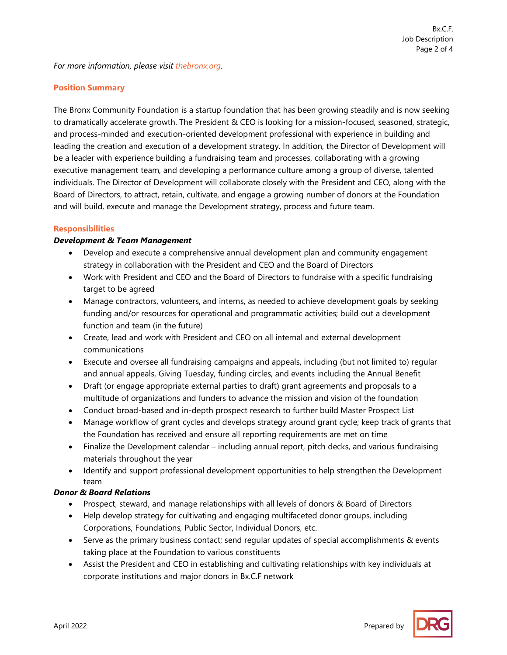#### **Position Summary**

The Bronx Community Foundation is a startup foundation that has been growing steadily and is now seeking to dramatically accelerate growth. The President & CEO is looking for a mission-focused, seasoned, strategic, and process-minded and execution-oriented development professional with experience in building and leading the creation and execution of a development strategy. In addition, the Director of Development will be a leader with experience building a fundraising team and processes, collaborating with a growing executive management team, and developing a performance culture among a group of diverse, talented individuals. The Director of Development will collaborate closely with the President and CEO, along with the Board of Directors, to attract, retain, cultivate, and engage a growing number of donors at the Foundation and will build, execute and manage the Development strategy, process and future team.

#### **Responsibilities**

#### *Development & Team Management*

- Develop and execute a comprehensive annual development plan and community engagement strategy in collaboration with the President and CEO and the Board of Directors
- Work with President and CEO and the Board of Directors to fundraise with a specific fundraising target to be agreed
- Manage contractors, volunteers, and interns, as needed to achieve development goals by seeking funding and/or resources for operational and programmatic activities; build out a development function and team (in the future)
- Create, lead and work with President and CEO on all internal and external development communications
- Execute and oversee all fundraising campaigns and appeals, including (but not limited to) regular and annual appeals, Giving Tuesday, funding circles, and events including the Annual Benefit
- Draft (or engage appropriate external parties to draft) grant agreements and proposals to a multitude of organizations and funders to advance the mission and vision of the foundation
- Conduct broad-based and in-depth prospect research to further build Master Prospect List
- Manage workflow of grant cycles and develops strategy around grant cycle; keep track of grants that the Foundation has received and ensure all reporting requirements are met on time
- Finalize the Development calendar including annual report, pitch decks, and various fundraising materials throughout the year
- Identify and support professional development opportunities to help strengthen the Development team

## *Donor & Board Relations*

- Prospect, steward, and manage relationships with all levels of donors & Board of Directors
- Help develop strategy for cultivating and engaging multifaceted donor groups, including Corporations, Foundations, Public Sector, Individual Donors, etc.
- Serve as the primary business contact; send regular updates of special accomplishments & events taking place at the Foundation to various constituents
- Assist the President and CEO in establishing and cultivating relationships with key individuals at corporate institutions and major donors in Bx.C.F network

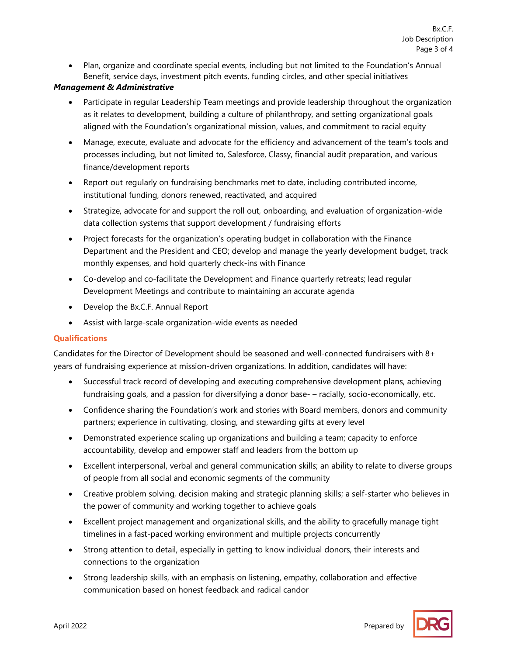• Plan, organize and coordinate special events, including but not limited to the Foundation's Annual Benefit, service days, investment pitch events, funding circles, and other special initiatives

#### *Management & Administrative*

- Participate in regular Leadership Team meetings and provide leadership throughout the organization as it relates to development, building a culture of philanthropy, and setting organizational goals aligned with the Foundation's organizational mission, values, and commitment to racial equity
- Manage, execute, evaluate and advocate for the efficiency and advancement of the team's tools and processes including, but not limited to, Salesforce, Classy, financial audit preparation, and various finance/development reports
- Report out regularly on fundraising benchmarks met to date, including contributed income, institutional funding, donors renewed, reactivated, and acquired
- Strategize, advocate for and support the roll out, onboarding, and evaluation of organization-wide data collection systems that support development / fundraising efforts
- Project forecasts for the organization's operating budget in collaboration with the Finance Department and the President and CEO; develop and manage the yearly development budget, track monthly expenses, and hold quarterly check-ins with Finance
- Co-develop and co-facilitate the Development and Finance quarterly retreats; lead regular Development Meetings and contribute to maintaining an accurate agenda
- Develop the Bx.C.F. Annual Report
- Assist with large-scale organization-wide events as needed

## **Qualifications**

Candidates for the Director of Development should be seasoned and well-connected fundraisers with 8+ years of fundraising experience at mission-driven organizations. In addition, candidates will have:

- Successful track record of developing and executing comprehensive development plans, achieving fundraising goals, and a passion for diversifying a donor base- – racially, socio-economically, etc.
- Confidence sharing the Foundation's work and stories with Board members, donors and community partners; experience in cultivating, closing, and stewarding gifts at every level
- Demonstrated experience scaling up organizations and building a team; capacity to enforce accountability, develop and empower staff and leaders from the bottom up
- Excellent interpersonal, verbal and general communication skills; an ability to relate to diverse groups of people from all social and economic segments of the community
- Creative problem solving, decision making and strategic planning skills; a self-starter who believes in the power of community and working together to achieve goals
- Excellent project management and organizational skills, and the ability to gracefully manage tight timelines in a fast-paced working environment and multiple projects concurrently
- Strong attention to detail, especially in getting to know individual donors, their interests and connections to the organization
- Strong leadership skills, with an emphasis on listening, empathy, collaboration and effective communication based on honest feedback and radical candor